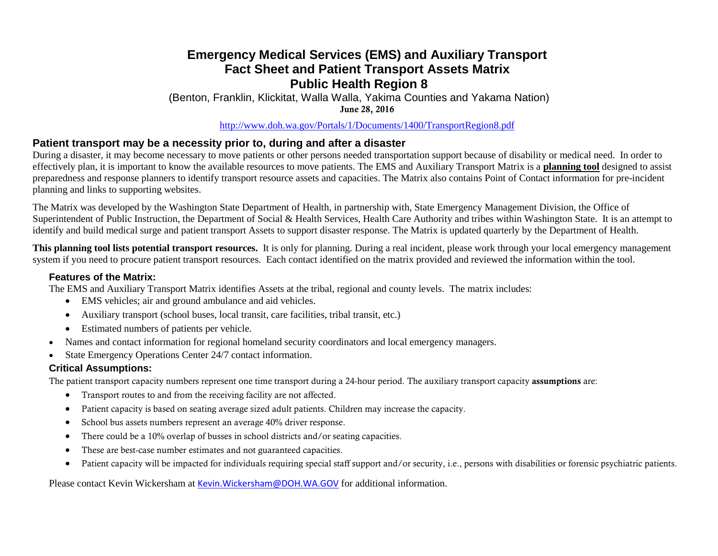## **Emergency Medical Services (EMS) and Auxiliary Transport Fact Sheet and Patient Transport Assets Matrix Public Health Region 8**

(Benton, Franklin, Klickitat, Walla Walla, Yakima Counties and Yakama Nation) June 28, 2016

<http://www.doh.wa.gov/Portals/1/Documents/1400/TransportRegion8.pdf>

## **Patient transport may be a necessity prior to, during and after a disaster**

During a disaster, it may become necessary to move patients or other persons needed transportation support because of disability or medical need. In order to effectively plan, it is important to know the available resources to move patients. The EMS and Auxiliary Transport Matrix is a **planning tool** designed to assist preparedness and response planners to identify transport resource assets and capacities. The Matrix also contains Point of Contact information for pre-incident planning and links to supporting websites.

The Matrix was developed by the Washington State Department of Health, in partnership with, State Emergency Management Division, the Office of Superintendent of Public Instruction, the Department of Social & Health Services, Health Care Authority and tribes within Washington State. It is an attempt to identify and build medical surge and patient transport Assets to support disaster response. The Matrix is updated quarterly by the Department of Health.

**This planning tool lists potential transport resources.** It is only for planning. During a real incident, please work through your local emergency management system if you need to procure patient transport resources. Each contact identified on the matrix provided and reviewed the information within the tool.

#### **Features of the Matrix:**

The EMS and Auxiliary Transport Matrix identifies Assets at the tribal, regional and county levels. The matrix includes:

- EMS vehicles; air and ground ambulance and aid vehicles.
- Auxiliary transport (school buses, local transit, care facilities, tribal transit, etc.)
- Estimated numbers of patients per vehicle.
- Names and contact information for regional homeland security coordinators and local emergency managers.
- State Emergency Operations Center 24/7 contact information.

### **Critical Assumptions:**

The patient transport capacity numbers represent one time transport during a 24-hour period. The auxiliary transport capacity assumptions are:

- Transport routes to and from the receiving facility are not affected.
- Patient capacity is based on seating average sized adult patients. Children may increase the capacity.
- School bus assets numbers represent an average 40% driver response.
- There could be a 10% overlap of busses in school districts and/or seating capacities.
- These are best-case number estimates and not guaranteed capacities.
- Patient capacity will be impacted for individuals requiring special staff support and/or security, i.e., persons with disabilities or forensic psychiatric patients.

Please contact Kevin Wickersham at [Kevin.Wickersham@DOH.WA.GOV](mailto:Kevin.Wickersham@DOH.WA.GOV) for additional information.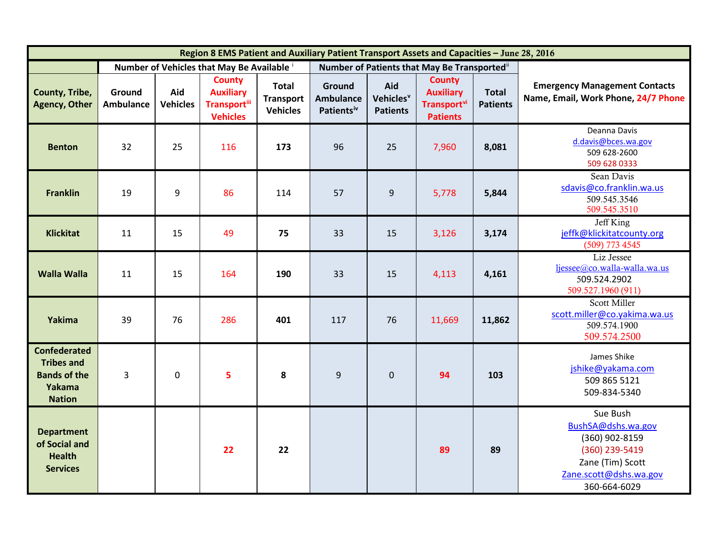| Region 8 EMS Patient and Auxiliary Patient Transport Assets and Capacities - June 28, 2016 |                                            |                        |                                                                              |                                                     |                                                      |                                                 |                                                                                        |                                 |                                                                                                                                  |  |
|--------------------------------------------------------------------------------------------|--------------------------------------------|------------------------|------------------------------------------------------------------------------|-----------------------------------------------------|------------------------------------------------------|-------------------------------------------------|----------------------------------------------------------------------------------------|---------------------------------|----------------------------------------------------------------------------------------------------------------------------------|--|
|                                                                                            | Number of Vehicles that May Be Available i |                        |                                                                              |                                                     | Number of Patients that May Be Transported"          |                                                 |                                                                                        |                                 |                                                                                                                                  |  |
| County, Tribe,<br><b>Agency, Other</b>                                                     | Ground<br><b>Ambulance</b>                 | Aid<br><b>Vehicles</b> | <b>County</b><br><b>Auxiliary</b><br><b>Transport</b> ill<br><b>Vehicles</b> | <b>Total</b><br><b>Transport</b><br><b>Vehicles</b> | Ground<br><b>Ambulance</b><br>Patients <sup>iv</sup> | Aid<br>Vehicles <sup>v</sup><br><b>Patients</b> | <b>County</b><br><b>Auxiliary</b><br><b>Transport</b> <sup>vi</sup><br><b>Patients</b> | <b>Total</b><br><b>Patients</b> | <b>Emergency Management Contacts</b><br>Name, Email, Work Phone, 24/7 Phone                                                      |  |
| <b>Benton</b>                                                                              | 32                                         | 25                     | 116                                                                          | 173                                                 | 96                                                   | 25                                              | 7,960                                                                                  | 8,081                           | Deanna Davis<br>d.davis@bces.wa.gov<br>509 628-2600<br>509 628 0333                                                              |  |
| <b>Franklin</b>                                                                            | 19                                         | 9                      | 86                                                                           | 114                                                 | 57                                                   | 9                                               | 5,778                                                                                  | 5,844                           | Sean Davis<br>sdavis@co.franklin.wa.us<br>509.545.3546<br>509.545.3510                                                           |  |
| <b>Klickitat</b>                                                                           | 11                                         | 15                     | 49                                                                           | 75                                                  | 33                                                   | 15                                              | 3,126                                                                                  | 3,174                           | Jeff King<br>jeffk@klickitatcounty.org<br>(509) 773 4545                                                                         |  |
| <b>Walla Walla</b>                                                                         | 11                                         | 15                     | 164                                                                          | 190                                                 | 33                                                   | 15                                              | 4,113                                                                                  | 4,161                           | Liz Jessee<br>ljessee@co.walla-walla.wa.us<br>509.524.2902<br>509.527.1960 (911)                                                 |  |
| Yakima                                                                                     | 39                                         | 76                     | 286                                                                          | 401                                                 | 117                                                  | 76                                              | 11,669                                                                                 | 11,862                          | Scott Miller<br>scott.miller@co.yakima.wa.us<br>509.574.1900<br>509.574.2500                                                     |  |
| <b>Confederated</b><br><b>Tribes and</b><br><b>Bands of the</b><br>Yakama<br><b>Nation</b> | $\overline{3}$                             | $\mathbf 0$            | 5                                                                            | 8                                                   | 9                                                    | $\mathbf 0$                                     | 94                                                                                     | 103                             | James Shike<br>jshike@yakama.com<br>509 865 5121<br>509-834-5340                                                                 |  |
| <b>Department</b><br>of Social and<br><b>Health</b><br><b>Services</b>                     |                                            |                        | 22                                                                           | 22                                                  |                                                      |                                                 | 89                                                                                     | 89                              | Sue Bush<br>BushSA@dshs.wa.gov<br>(360) 902-8159<br>(360) 239-5419<br>Zane (Tim) Scott<br>Zane.scott@dshs.wa.gov<br>360-664-6029 |  |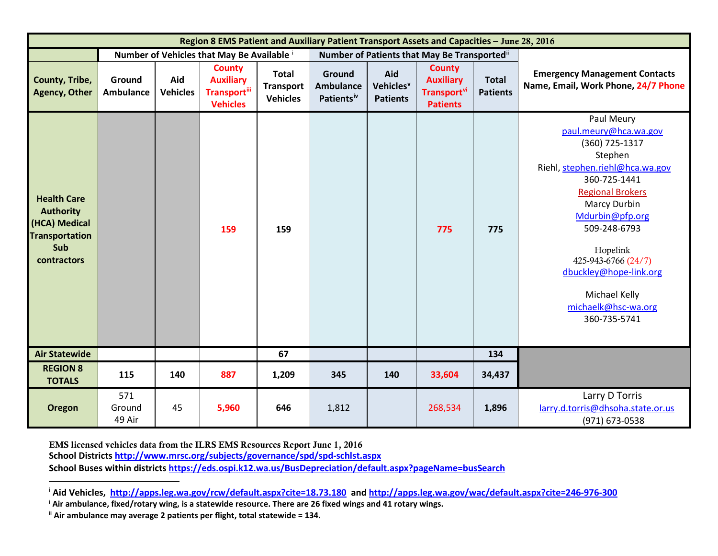<span id="page-2-1"></span><span id="page-2-0"></span>

| Region 8 EMS Patient and Auxiliary Patient Transport Assets and Capacities - June 28, 2016             |                            |                        |                                                                              |                                                     |                                                      |                                                 |                                                                             |                                 |                                                                                                                                                                                                                                                                                                                               |  |
|--------------------------------------------------------------------------------------------------------|----------------------------|------------------------|------------------------------------------------------------------------------|-----------------------------------------------------|------------------------------------------------------|-------------------------------------------------|-----------------------------------------------------------------------------|---------------------------------|-------------------------------------------------------------------------------------------------------------------------------------------------------------------------------------------------------------------------------------------------------------------------------------------------------------------------------|--|
|                                                                                                        |                            |                        | Number of Vehicles that May Be Available i                                   |                                                     | Number of Patients that May Be Transportedii         |                                                 |                                                                             |                                 |                                                                                                                                                                                                                                                                                                                               |  |
| County, Tribe,<br><b>Agency, Other</b>                                                                 | Ground<br><b>Ambulance</b> | Aid<br><b>Vehicles</b> | <b>County</b><br><b>Auxiliary</b><br><b>Transport</b> iii<br><b>Vehicles</b> | <b>Total</b><br><b>Transport</b><br><b>Vehicles</b> | Ground<br><b>Ambulance</b><br>Patients <sup>iv</sup> | Aid<br>Vehicles <sup>v</sup><br><b>Patients</b> | <b>County</b><br><b>Auxiliary</b><br><b>Transport</b> vi<br><b>Patients</b> | <b>Total</b><br><b>Patients</b> | <b>Emergency Management Contacts</b><br>Name, Email, Work Phone, 24/7 Phone                                                                                                                                                                                                                                                   |  |
| <b>Health Care</b><br><b>Authority</b><br>(HCA) Medical<br><b>Transportation</b><br>Sub<br>contractors |                            |                        | 159                                                                          | 159                                                 |                                                      |                                                 | 775                                                                         | 775                             | Paul Meury<br>paul.meury@hca.wa.gov<br>(360) 725-1317<br>Stephen<br>Riehl, stephen.riehl@hca.wa.gov<br>360-725-1441<br><b>Regional Brokers</b><br><b>Marcy Durbin</b><br>Mdurbin@pfp.org<br>509-248-6793<br>Hopelink<br>425-943-6766 (24/7)<br>dbuckley@hope-link.org<br>Michael Kelly<br>michaelk@hsc-wa.org<br>360-735-5741 |  |
| <b>Air Statewide</b>                                                                                   |                            |                        |                                                                              | 67                                                  |                                                      |                                                 |                                                                             | 134                             |                                                                                                                                                                                                                                                                                                                               |  |
| <b>REGION 8</b><br><b>TOTALS</b>                                                                       | 115                        | 140                    | 887                                                                          | 1,209                                               | 345                                                  | 140                                             | 33,604                                                                      | 34,437                          |                                                                                                                                                                                                                                                                                                                               |  |
| <b>Oregon</b>                                                                                          | 571<br>Ground<br>49 Air    | 45                     | 5,960                                                                        | 646                                                 | 1,812                                                |                                                 | 268,534                                                                     | 1,896                           | Larry D Torris<br>larry.d.torris@dhsoha.state.or.us<br>(971) 673-0538                                                                                                                                                                                                                                                         |  |

EMS licensed vehicles data from the ILRS EMS Resources Report June 1, 2016 **School District[s http://www.mrsc.org/subjects/governance/spd/spd-schlst.aspx](http://www.mrsc.org/subjects/governance/spd/spd-schlst.aspx) School Buses within districts<https://eds.ospi.k12.wa.us/BusDepreciation/default.aspx?pageName=busSearch>**

l

**<sup>i</sup> Aid Vehicles,<http://apps.leg.wa.gov/rcw/default.aspx?cite=18.73.180>and<http://apps.leg.wa.gov/wac/default.aspx?cite=246-976-300>**

**<sup>i</sup> Air ambulance, fixed/rotary wing, is a statewide resource. There are 26 fixed wings and 41 rotary wings.**

**ii Air ambulance may average 2 patients per flight, total statewide = 134.**